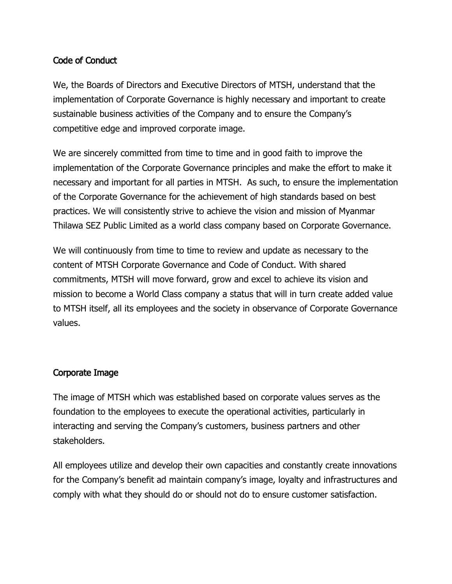# Code of Conduct

We, the Boards of Directors and Executive Directors of MTSH, understand that the implementation of Corporate Governance is highly necessary and important to create sustainable business activities of the Company and to ensure the Company's competitive edge and improved corporate image.

We are sincerely committed from time to time and in good faith to improve the implementation of the Corporate Governance principles and make the effort to make it necessary and important for all parties in MTSH. As such, to ensure the implementation of the Corporate Governance for the achievement of high standards based on best practices. We will consistently strive to achieve the vision and mission of Myanmar Thilawa SEZ Public Limited as a world class company based on Corporate Governance.

We will continuously from time to time to review and update as necessary to the content of MTSH Corporate Governance and Code of Conduct. With shared commitments, MTSH will move forward, grow and excel to achieve its vision and mission to become a World Class company a status that will in turn create added value to MTSH itself, all its employees and the society in observance of Corporate Governance values.

## Corporate Image

The image of MTSH which was established based on corporate values serves as the foundation to the employees to execute the operational activities, particularly in interacting and serving the Company's customers, business partners and other stakeholders.

All employees utilize and develop their own capacities and constantly create innovations for the Company's benefit ad maintain company's image, loyalty and infrastructures and comply with what they should do or should not do to ensure customer satisfaction.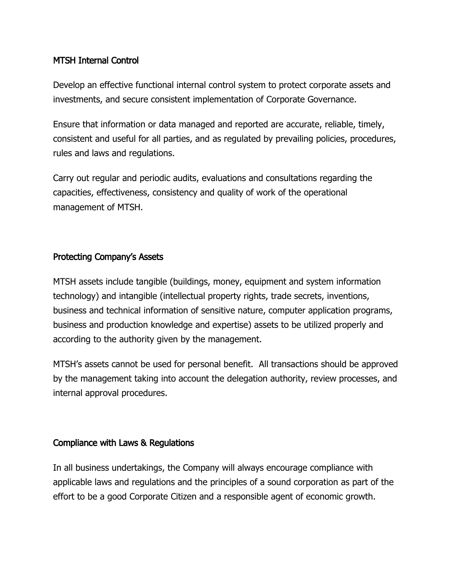# MTSH Internal Control

Develop an effective functional internal control system to protect corporate assets and investments, and secure consistent implementation of Corporate Governance.

Ensure that information or data managed and reported are accurate, reliable, timely, consistent and useful for all parties, and as regulated by prevailing policies, procedures, rules and laws and regulations.

Carry out regular and periodic audits, evaluations and consultations regarding the capacities, effectiveness, consistency and quality of work of the operational management of MTSH.

### Protecting Company's Assets

MTSH assets include tangible (buildings, money, equipment and system information technology) and intangible (intellectual property rights, trade secrets, inventions, business and technical information of sensitive nature, computer application programs, business and production knowledge and expertise) assets to be utilized properly and according to the authority given by the management.

MTSH's assets cannot be used for personal benefit. All transactions should be approved by the management taking into account the delegation authority, review processes, and internal approval procedures.

#### Compliance with Laws & Regulations

In all business undertakings, the Company will always encourage compliance with applicable laws and regulations and the principles of a sound corporation as part of the effort to be a good Corporate Citizen and a responsible agent of economic growth.